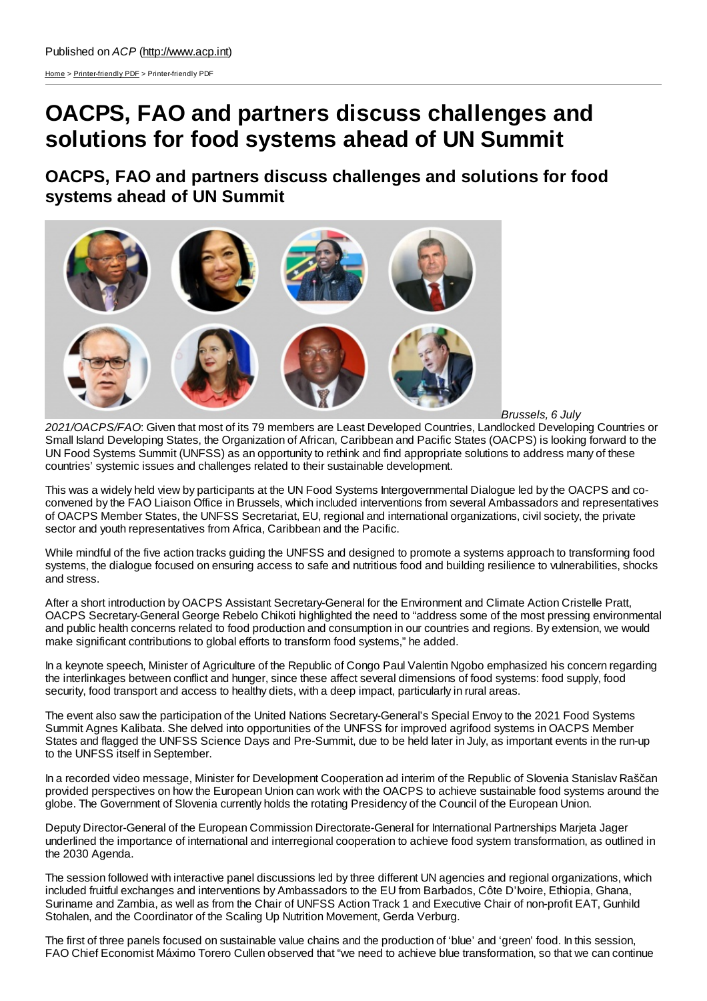[Home](http://www.acp.int/) > [Printer-friendly](http://www.acp.int/printpdf) PDF > Printer-friendly PDF

## **OACPS, FAO and partners discuss challenges and solutions for food systems ahead of UN Summit**

**OACPS, FAO and partners discuss challenges and solutions for food systems ahead of UN Summit**



*Brussels, 6 July*

*2021/OACPS/FAO*: Given that most of its 79 members are Least Developed Countries, Landlocked Developing Countries or Small Island Developing States, the Organization of African, Caribbean and Pacific States (OACPS) is looking forward to the UN Food Systems Summit (UNFSS) as an opportunity to rethink and find appropriate solutions to address many of these countries' systemic issues and challenges related to their sustainable development.

This was a widely held view by participants at the UN Food Systems Intergovernmental Dialogue led by the OACPS and coconvened by the FAO Liaison Office in Brussels, which included interventions from several Ambassadors and representatives of OACPS Member States, the UNFSS Secretariat, EU, regional and international organizations, civil society, the private sector and youth representatives from Africa, Caribbean and the Pacific.

While mindful of the five action tracks guiding the UNFSS and designed to promote a systems approach to transforming food systems, the dialogue focused on ensuring access to safe and nutritious food and building resilience to vulnerabilities, shocks and stress.

After a short introduction by OACPS Assistant Secretary-General for the Environment and Climate Action Cristelle Pratt, OACPS Secretary-General George Rebelo Chikoti highlighted the need to "address some of the most pressing environmental and public health concerns related to food production and consumption in our countries and regions. By extension, we would make significant contributions to global efforts to transform food systems," he added.

In a keynote speech, Minister of Agriculture of the Republic of Congo Paul Valentin Ngobo emphasized his concern regarding the interlinkages between conflict and hunger, since these affect several dimensions of food systems: food supply, food security, food transport and access to healthy diets, with a deep impact, particularly in rural areas.

The event also saw the participation of the United Nations Secretary-General's Special Envoy to the 2021 Food Systems Summit Agnes Kalibata. She delved into opportunities of the UNFSS for improved agrifood systems in OACPS Member States and flagged the UNFSS Science Days and Pre-Summit, due to be held later in July, as important events in the run-up to the UNFSS itself in September.

In a recorded video message, Minister for Development Cooperation ad interim of the Republic of Slovenia Stanislav Raščan provided perspectives on how the European Union can work with the OACPS to achieve sustainable food systems around the globe. The Government of Slovenia currently holds the rotating Presidency of the Council of the European Union.

Deputy Director-General of the European Commission Directorate-General for International Partnerships Marjeta Jager underlined the importance of international and interregional cooperation to achieve food system transformation, as outlined in the 2030 Agenda.

The session followed with interactive panel discussions led by three different UN agencies and regional organizations, which included fruitful exchanges and interventions by Ambassadors to the EU from Barbados, Côte D'Ivoire, Ethiopia, Ghana, Suriname and Zambia, as well as from the Chair of UNFSS Action Track 1 and Executive Chair of non-profit EAT, Gunhild Stohalen, and the Coordinator of the Scaling Up Nutrition Movement, Gerda Verburg.

The first of three panels focused on sustainable value chains and the production of 'blue' and 'green' food. In this session, FAO Chief Economist Máximo Torero Cullen observed that "we need to achieve blue transformation, so that we can continue